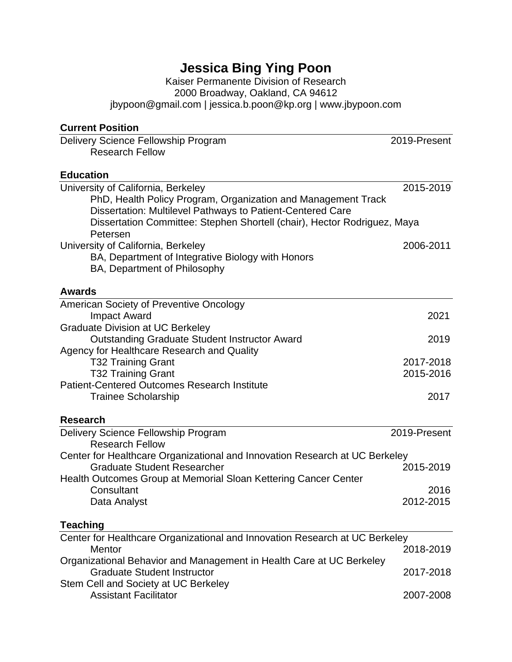# **Jessica Bing Ying Poon**

Kaiser Permanente Division of Research 2000 Broadway, Oakland, CA 94612 jbypoon@gmail.com | jessica.b.poon@kp.org | www.jbypoon.com

#### **Current Position**

Stem Cell and Society at UC Berkeley

| Delivery Science Fellowship Program<br><b>Research Fellow</b>                        | 2019-Present |
|--------------------------------------------------------------------------------------|--------------|
| <b>Education</b>                                                                     |              |
| $\mathbf{H}$ . The state of $\mathbf{A}$ , the state of $\mathbf{B}$ , and the state | 0.15010      |

| University of California, Berkeley                                                                                          | 2015-2019    |
|-----------------------------------------------------------------------------------------------------------------------------|--------------|
| PhD, Health Policy Program, Organization and Management Track<br>Dissertation: Multilevel Pathways to Patient-Centered Care |              |
| Dissertation Committee: Stephen Shortell (chair), Hector Rodriguez, Maya                                                    |              |
| Petersen                                                                                                                    |              |
| University of California, Berkeley                                                                                          | 2006-2011    |
| BA, Department of Integrative Biology with Honors<br>BA, Department of Philosophy                                           |              |
| <b>Awards</b>                                                                                                               |              |
| American Society of Preventive Oncology                                                                                     |              |
| <b>Impact Award</b>                                                                                                         | 2021         |
| <b>Graduate Division at UC Berkeley</b>                                                                                     |              |
| <b>Outstanding Graduate Student Instructor Award</b>                                                                        | 2019         |
| Agency for Healthcare Research and Quality<br><b>T32 Training Grant</b>                                                     | 2017-2018    |
| <b>T32 Training Grant</b>                                                                                                   | 2015-2016    |
| <b>Patient-Centered Outcomes Research Institute</b>                                                                         |              |
| <b>Trainee Scholarship</b>                                                                                                  | 2017         |
| <b>Research</b>                                                                                                             |              |
| Delivery Science Fellowship Program                                                                                         | 2019-Present |
| <b>Research Fellow</b>                                                                                                      |              |
| Center for Healthcare Organizational and Innovation Research at UC Berkeley                                                 |              |
| <b>Graduate Student Researcher</b>                                                                                          | 2015-2019    |
| Health Outcomes Group at Memorial Sloan Kettering Cancer Center<br>Consultant                                               | 2016         |
| Data Analyst                                                                                                                | 2012-2015    |
|                                                                                                                             |              |
| <b>Teaching</b>                                                                                                             |              |
| Center for Healthcare Organizational and Innovation Research at UC Berkeley                                                 |              |
| <b>Mentor</b>                                                                                                               | 2018-2019    |
| Organizational Behavior and Management in Health Care at UC Berkeley                                                        |              |
| <b>Graduate Student Instructor</b>                                                                                          | 2017-2018    |

Assistant Facilitator 2007-2008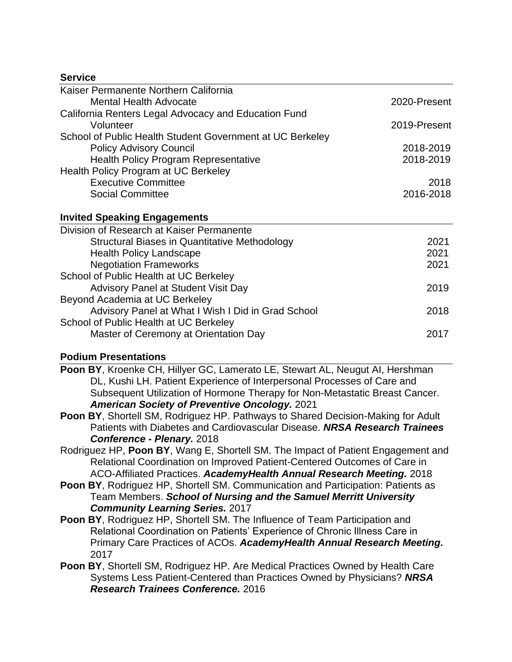#### **Service**

| Kaiser Permanente Northern California                     |              |
|-----------------------------------------------------------|--------------|
| <b>Mental Health Advocate</b>                             | 2020-Present |
| California Renters Legal Advocacy and Education Fund      |              |
| Volunteer                                                 | 2019-Present |
| School of Public Health Student Government at UC Berkeley |              |
| <b>Policy Advisory Council</b>                            | 2018-2019    |
| <b>Health Policy Program Representative</b>               | 2018-2019    |
| Health Policy Program at UC Berkeley                      |              |
| <b>Executive Committee</b>                                | 2018         |
| <b>Social Committee</b>                                   | 2016-2018    |
| <b>Invited Speaking Engagements</b>                       |              |
| Division of Research at Kaiser Permanente                 |              |
| Structural Biases in Quantitative Methodology             | 2021         |
| <b>Health Policy Landscape</b>                            | 2021         |
| <b>Negotiation Frameworks</b>                             | 2021         |
| School of Public Health at UC Berkeley                    |              |
| <b>Advisory Panel at Student Visit Day</b>                | 2019         |
| Beyond Academia at UC Berkeley                            |              |
| Advisory Panel at What I Wish I Did in Grad School        | 2018         |
| School of Public Health at UC Berkeley                    |              |
| Master of Ceremony at Orientation Day                     | 2017         |
|                                                           |              |

#### **Podium Presentations**

**Poon BY**, Kroenke CH, Hillyer GC, Lamerato LE, Stewart AL, Neugut AI, Hershman DL, Kushi LH. Patient Experience of Interpersonal Processes of Care and Subsequent Utilization of Hormone Therapy for Non-Metastatic Breast Cancer. *American Society of Preventive Oncology.* 2021

**Poon BY**, Shortell SM, Rodriguez HP. Pathways to Shared Decision-Making for Adult Patients with Diabetes and Cardiovascular Disease. *NRSA Research Trainees Conference - Plenary.* 2018

- Rodriguez HP, **Poon BY**, Wang E, Shortell SM. The Impact of Patient Engagement and Relational Coordination on Improved Patient-Centered Outcomes of Care in ACO-Affiliated Practices. *AcademyHealth Annual Research Meeting.* 2018
- **Poon BY**, Rodriguez HP, Shortell SM. Communication and Participation: Patients as Team Members. *School of Nursing and the Samuel Merritt University Community Learning Series.* 2017
- **Poon BY**, Rodriguez HP, Shortell SM. The Influence of Team Participation and Relational Coordination on Patients' Experience of Chronic Illness Care in Primary Care Practices of ACOs. *AcademyHealth Annual Research Meeting.* 2017
- **Poon BY**, Shortell SM, Rodriguez HP. Are Medical Practices Owned by Health Care Systems Less Patient-Centered than Practices Owned by Physicians? *NRSA Research Trainees Conference.* 2016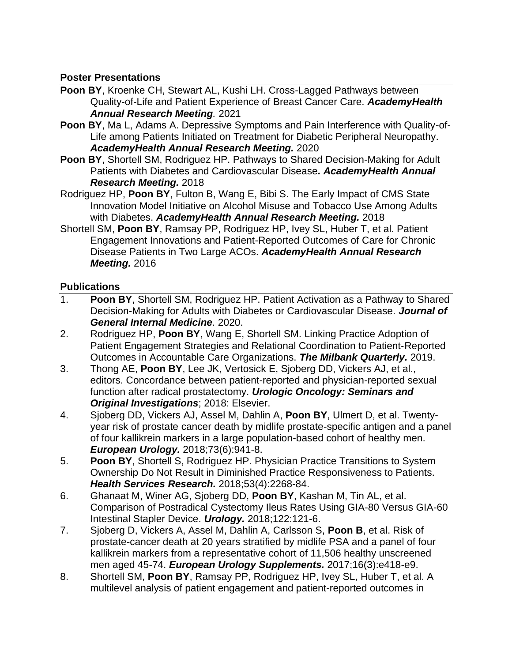#### **Poster Presentations**

- **Poon BY**, Kroenke CH, Stewart AL, Kushi LH. Cross-Lagged Pathways between Quality-of-Life and Patient Experience of Breast Cancer Care. *AcademyHealth Annual Research Meeting.* 2021
- **Poon BY**, Ma L, Adams A. Depressive Symptoms and Pain Interference with Quality-of-Life among Patients Initiated on Treatment for Diabetic Peripheral Neuropathy. *AcademyHealth Annual Research Meeting.* 2020
- **Poon BY**, Shortell SM, Rodriguez HP. Pathways to Shared Decision-Making for Adult Patients with Diabetes and Cardiovascular Disease*. AcademyHealth Annual Research Meeting.* 2018
- Rodriguez HP, **Poon BY**, Fulton B, Wang E, Bibi S. The Early Impact of CMS State Innovation Model Initiative on Alcohol Misuse and Tobacco Use Among Adults with Diabetes. *AcademyHealth Annual Research Meeting.* 2018
- Shortell SM, **Poon BY**, Ramsay PP, Rodriguez HP, Ivey SL, Huber T, et al. Patient Engagement Innovations and Patient-Reported Outcomes of Care for Chronic Disease Patients in Two Large ACOs. *AcademyHealth Annual Research Meeting.* 2016

### **Publications**

- 1. **Poon BY**, Shortell SM, Rodriguez HP. Patient Activation as a Pathway to Shared Decision-Making for Adults with Diabetes or Cardiovascular Disease. *Journal of General Internal Medicine.* 2020.
- 2. Rodriguez HP, **Poon BY**, Wang E, Shortell SM. Linking Practice Adoption of Patient Engagement Strategies and Relational Coordination to Patient‐Reported Outcomes in Accountable Care Organizations. *The Milbank Quarterly.* 2019.
- 3. Thong AE, **Poon BY**, Lee JK, Vertosick E, Sjoberg DD, Vickers AJ, et al., editors. Concordance between patient-reported and physician-reported sexual function after radical prostatectomy. *Urologic Oncology: Seminars and Original Investigations*; 2018: Elsevier.
- 4. Sjoberg DD, Vickers AJ, Assel M, Dahlin A, **Poon BY**, Ulmert D, et al. Twentyyear risk of prostate cancer death by midlife prostate-specific antigen and a panel of four kallikrein markers in a large population-based cohort of healthy men. *European Urology.* 2018;73(6):941-8.
- 5. **Poon BY**, Shortell S, Rodriguez HP. Physician Practice Transitions to System Ownership Do Not Result in Diminished Practice Responsiveness to Patients. *Health Services Research.* 2018;53(4):2268-84.
- 6. Ghanaat M, Winer AG, Sjoberg DD, **Poon BY**, Kashan M, Tin AL, et al. Comparison of Postradical Cystectomy Ileus Rates Using GIA-80 Versus GIA-60 Intestinal Stapler Device. *Urology.* 2018;122:121-6.
- 7. Sjoberg D, Vickers A, Assel M, Dahlin A, Carlsson S, **Poon B**, et al. Risk of prostate-cancer death at 20 years stratified by midlife PSA and a panel of four kallikrein markers from a representative cohort of 11,506 healthy unscreened men aged 45-74. *European Urology Supplements.* 2017;16(3):e418-e9.
- 8. Shortell SM, **Poon BY**, Ramsay PP, Rodriguez HP, Ivey SL, Huber T, et al. A multilevel analysis of patient engagement and patient-reported outcomes in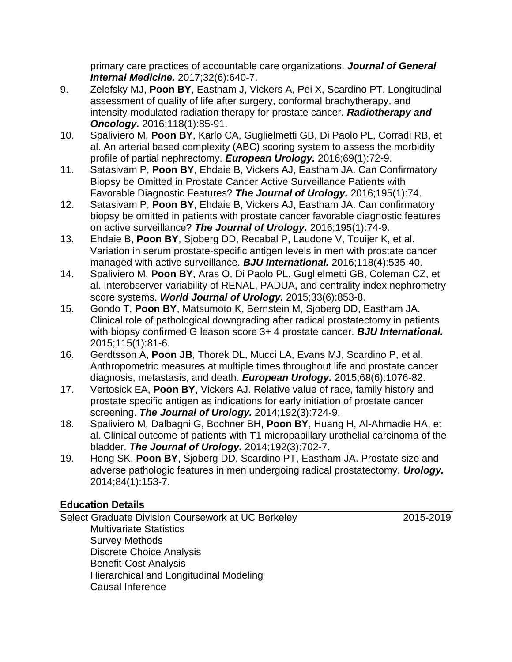primary care practices of accountable care organizations. *Journal of General Internal Medicine.* 2017;32(6):640-7.

- 9. Zelefsky MJ, **Poon BY**, Eastham J, Vickers A, Pei X, Scardino PT. Longitudinal assessment of quality of life after surgery, conformal brachytherapy, and intensity-modulated radiation therapy for prostate cancer. *Radiotherapy and Oncology.* 2016;118(1):85-91.
- 10. Spaliviero M, **Poon BY**, Karlo CA, Guglielmetti GB, Di Paolo PL, Corradi RB, et al. An arterial based complexity (ABC) scoring system to assess the morbidity profile of partial nephrectomy. *European Urology.* 2016;69(1):72-9.
- 11. Satasivam P, **Poon BY**, Ehdaie B, Vickers AJ, Eastham JA. Can Confirmatory Biopsy be Omitted in Prostate Cancer Active Surveillance Patients with Favorable Diagnostic Features? *The Journal of Urology.* 2016;195(1):74.
- 12. Satasivam P, **Poon BY**, Ehdaie B, Vickers AJ, Eastham JA. Can confirmatory biopsy be omitted in patients with prostate cancer favorable diagnostic features on active surveillance? *The Journal of Urology.* 2016;195(1):74-9.
- 13. Ehdaie B, **Poon BY**, Sjoberg DD, Recabal P, Laudone V, Touijer K, et al. Variation in serum prostate‐specific antigen levels in men with prostate cancer managed with active surveillance. *BJU International.* 2016;118(4):535-40.
- 14. Spaliviero M, **Poon BY**, Aras O, Di Paolo PL, Guglielmetti GB, Coleman CZ, et al. Interobserver variability of RENAL, PADUA, and centrality index nephrometry score systems. *World Journal of Urology.* 2015;33(6):853-8.
- 15. Gondo T, **Poon BY**, Matsumoto K, Bernstein M, Sjoberg DD, Eastham JA. Clinical role of pathological downgrading after radical prostatectomy in patients with biopsy confirmed G leason score 3+ 4 prostate cancer. *BJU International.* 2015;115(1):81-6.
- 16. Gerdtsson A, **Poon JB**, Thorek DL, Mucci LA, Evans MJ, Scardino P, et al. Anthropometric measures at multiple times throughout life and prostate cancer diagnosis, metastasis, and death. *European Urology.* 2015;68(6):1076-82.
- 17. Vertosick EA, **Poon BY**, Vickers AJ. Relative value of race, family history and prostate specific antigen as indications for early initiation of prostate cancer screening. *The Journal of Urology.* 2014;192(3):724-9.
- 18. Spaliviero M, Dalbagni G, Bochner BH, **Poon BY**, Huang H, Al-Ahmadie HA, et al. Clinical outcome of patients with T1 micropapillary urothelial carcinoma of the bladder. *The Journal of Urology.* 2014;192(3):702-7.
- 19. Hong SK, **Poon BY**, Sjoberg DD, Scardino PT, Eastham JA. Prostate size and adverse pathologic features in men undergoing radical prostatectomy. *Urology.* 2014;84(1):153-7.

## **Education Details**

Select Graduate Division Coursework at UC Berkeley 2015-2019 Multivariate Statistics Survey Methods Discrete Choice Analysis Benefit-Cost Analysis Hierarchical and Longitudinal Modeling Causal Inference